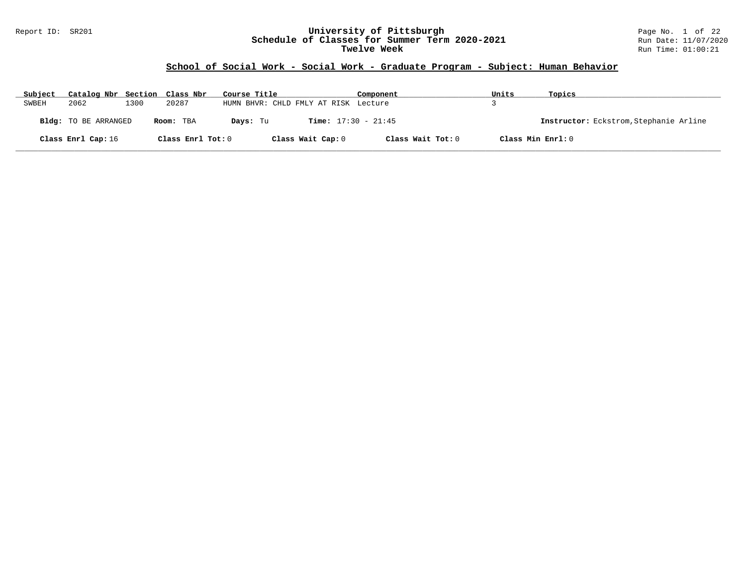#### Report ID: SR201 **University of Pittsburgh** Page No. 1 of 22 **Schedule of Classes for Summer Term 2020-2021** Run Date: 11/07/2020 **Twelve Week** Run Time: 01:00:21

# **School of Social Work - Social Work - Graduate Program - Subject: Human Behavior**

| Subject | Catalog Nbr Section Class Nbr |      |                   | Course Title                         |                              | Component         | Units | Topics                                 |
|---------|-------------------------------|------|-------------------|--------------------------------------|------------------------------|-------------------|-------|----------------------------------------|
| SWBEH   | 2062                          | 1300 | 20287             | HUMN BHVR: CHLD FMLY AT RISK Lecture |                              |                   |       |                                        |
|         | Bldg: TO BE ARRANGED          |      | Room: TBA         | Davs: Tu                             | <b>Time:</b> $17:30 - 21:45$ |                   |       | Instructor: Eckstrom, Stephanie Arline |
|         | Class Enrl Cap: 16            |      | Class Enrl Tot: 0 |                                      | Class Wait Cap: 0            | Class Wait Tot: 0 |       | Class Min Enrl: 0                      |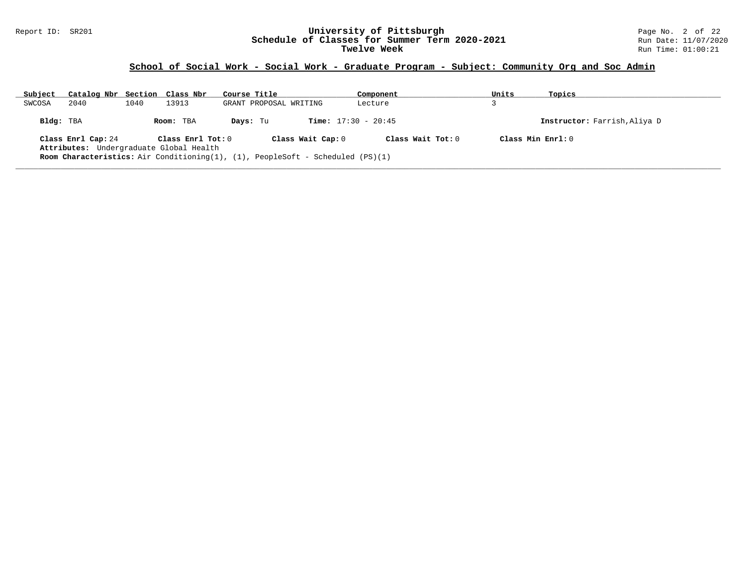#### Report ID: SR201 **University of Pittsburgh** Page No. 2 of 22 **Schedule of Classes for Summer Term 2020-2021** Run Date: 11/07/2020 **Twelve Week** Run Time: 01:00:21

| Subject   | Catalog Nbr Section Class Nbr                                 |      |                     | Course Title                                                                          | Component                    | Units | Topics                       |
|-----------|---------------------------------------------------------------|------|---------------------|---------------------------------------------------------------------------------------|------------------------------|-------|------------------------------|
| SWCOSA    | 2040                                                          | 1040 | 13913               | GRANT PROPOSAL WRITING                                                                | Lecture                      |       |                              |
| Bldg: TBA |                                                               |      | Room: TBA           | Days: Tu                                                                              | <b>Time:</b> $17:30 - 20:45$ |       | Instructor: Farrish, Aliya D |
|           | Class Enrl Cap: 24<br>Attributes: Undergraduate Global Health |      | Class $Enr1 Tot: 0$ | Class Wait Cap: 0                                                                     | Class Wait $Tot: 0$          |       | Class Min $Enrl: 0$          |
|           |                                                               |      |                     | <b>Room Characteristics:</b> Air Conditioning(1), (1), PeopleSoft - Scheduled (PS)(1) |                              |       |                              |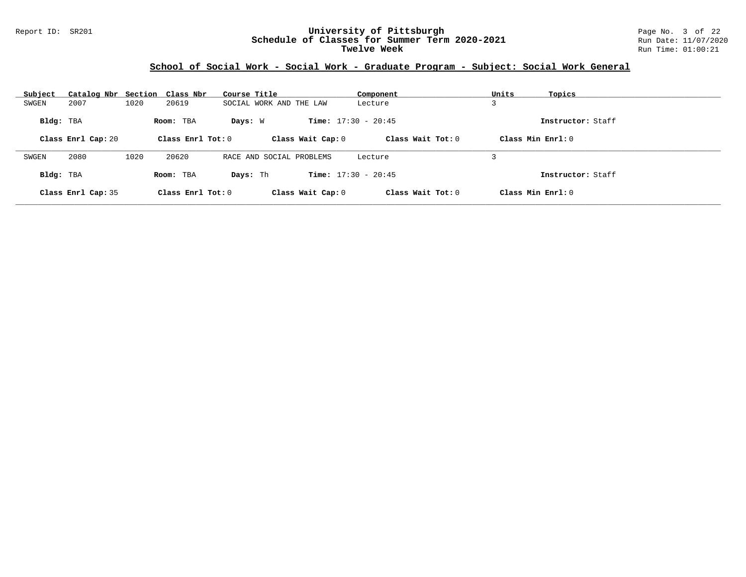#### Report ID: SR201 **University of Pittsburgh** Page No. 3 of 22 **Schedule of Classes for Summer Term 2020-2021** Run Date: 11/07/2020 **Twelve Week** Run Time: 01:00:21

| Subject   | Catalog Nbr Section Class Nbr |      |                     | Course Title |                              | Component         | Units             | Topics            |
|-----------|-------------------------------|------|---------------------|--------------|------------------------------|-------------------|-------------------|-------------------|
| SWGEN     | 2007                          | 1020 | 20619               |              | SOCIAL WORK AND THE LAW      | Lecture           |                   |                   |
| Bldg: TBA |                               |      | Room: TBA           | Days: W      | <b>Time:</b> $17:30 - 20:45$ |                   |                   | Instructor: Staff |
|           | Class Enrl Cap: 20            |      | Class Enrl Tot: $0$ |              | Class Wait Cap: 0            | Class Wait Tot: 0 | Class Min Enrl: 0 |                   |
| SWGEN     | 2080                          | 1020 | 20620               |              | RACE AND SOCIAL PROBLEMS     |                   |                   |                   |
|           |                               |      |                     |              |                              | Lecture           |                   |                   |
| Bldg: TBA |                               |      | Room: TBA           | Days: Th     | <b>Time:</b> $17:30 - 20:45$ |                   |                   | Instructor: Staff |
|           | Class Enrl Cap: 35            |      | Class Enrl Tot: 0   |              | Class Wait Cap: 0            | Class Wait Tot: 0 | Class Min Enrl: 0 |                   |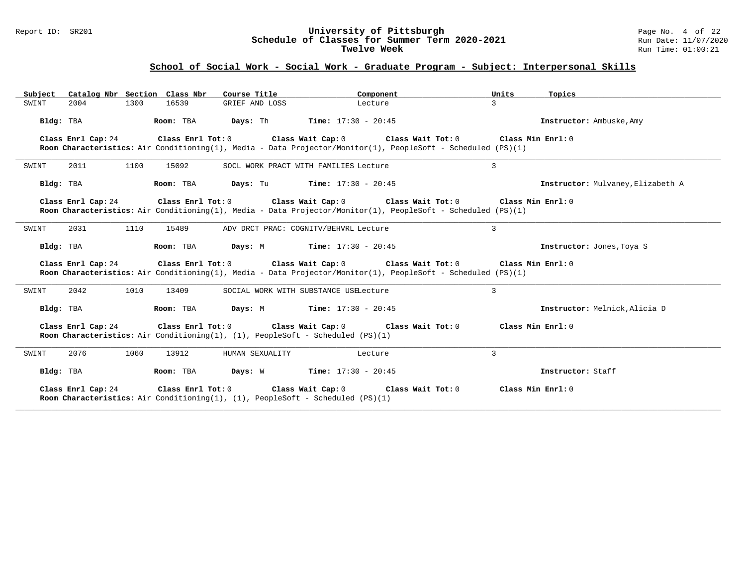#### Report ID: SR201 **University of Pittsburgh** Page No. 4 of 22 **Schedule of Classes for Summer Term 2020-2021** Run Date: 11/07/2020 **Twelve Week** Run Time: 01:00:21

| Catalog Nbr Section Class Nbr<br>Subject | Course Title                                                                                                                | Component                                                                                                                                                                                       | Units<br>Topics                   |
|------------------------------------------|-----------------------------------------------------------------------------------------------------------------------------|-------------------------------------------------------------------------------------------------------------------------------------------------------------------------------------------------|-----------------------------------|
| 1300<br>SWINT<br>2004                    | 16539<br>GRIEF AND LOSS                                                                                                     | Lecture                                                                                                                                                                                         | $\mathbf{z}$                      |
| Bldg: TBA                                | Room: TBA                                                                                                                   | <b>Days:</b> Th <b>Time:</b> $17:30 - 20:45$                                                                                                                                                    | Instructor: Ambuske, Amy          |
| Class Enrl Cap: 24                       |                                                                                                                             | Class Enrl Tot: $0$ Class Wait Cap: $0$ Class Wait Tot: $0$                                                                                                                                     | Class Min Enrl: 0                 |
|                                          |                                                                                                                             | Room Characteristics: Air Conditioning(1), Media - Data Projector/Monitor(1), PeopleSoft - Scheduled (PS)(1)                                                                                    |                                   |
| 1100<br>SWINT<br>2011                    | 15092                                                                                                                       | SOCL WORK PRACT WITH FAMILIES Lecture                                                                                                                                                           | 3                                 |
| Bldg: TBA                                | Room: TBA                                                                                                                   | <b>Days:</b> Tu <b>Time:</b> $17:30 - 20:45$                                                                                                                                                    | Instructor: Mulvaney, Elizabeth A |
| Class Enrl Cap: 24                       | Class Enrl Tot: 0 Class Wait Cap: 0                                                                                         | Class Wait Tot: 0                                                                                                                                                                               | Class Min Ernst: 0                |
|                                          |                                                                                                                             | Room Characteristics: Air Conditioning(1), Media - Data Projector/Monitor(1), PeopleSoft - Scheduled (PS)(1)                                                                                    |                                   |
| 1110<br>2031<br>SWINT                    | 15489                                                                                                                       | ADV DRCT PRAC: COGNITV/BEHVRL Lecture                                                                                                                                                           | 3                                 |
| Bldg: TBA                                | Room: TBA                                                                                                                   | <b>Days:</b> M <b>Time:</b> $17:30 - 20:45$                                                                                                                                                     | Instructor: Jones, Toya S         |
| Class Enrl Cap: 24                       |                                                                                                                             | Class Enrl Tot: $0$ Class Wait Cap: $0$ Class Wait Tot: $0$ Class Min Enrl: $0$<br>Room Characteristics: Air Conditioning(1), Media - Data Projector/Monitor(1), PeopleSoft - Scheduled (PS)(1) |                                   |
| 1010<br>SWINT<br>2042                    | 13409                                                                                                                       | SOCIAL WORK WITH SUBSTANCE USELecture                                                                                                                                                           | 3                                 |
| Bldg: TBA                                | Room: TBA<br>Days: M                                                                                                        | <b>Time:</b> $17:30 - 20:45$                                                                                                                                                                    | Instructor: Melnick, Alicia D     |
| Class Enrl Cap: 24                       | Class Enrl Tot: 0                                                                                                           | Class Wait Cap: 0<br>Class Wait Tot: 0                                                                                                                                                          | Class Min Enrl: 0                 |
|                                          | Room Characteristics: Air Conditioning(1), (1), PeopleSoft - Scheduled $(PS)(1)$                                            |                                                                                                                                                                                                 |                                   |
| 2076<br>1060<br>SWINT                    | 13912<br>HUMAN SEXUALITY                                                                                                    | Lecture                                                                                                                                                                                         | 3                                 |
| Bldg: TBA                                | Room: TBA                                                                                                                   | <b>Days:</b> W <b>Time:</b> $17:30 - 20:45$                                                                                                                                                     | Instructor: Staff                 |
| Class Enrl Cap: 24                       | Class Enrl Tot: $0$ Class Wait Cap: $0$<br>Room Characteristics: Air Conditioning(1), (1), PeopleSoft - Scheduled $(PS)(1)$ | Class Wait Tot: 0                                                                                                                                                                               | Class Min Enrl: 0                 |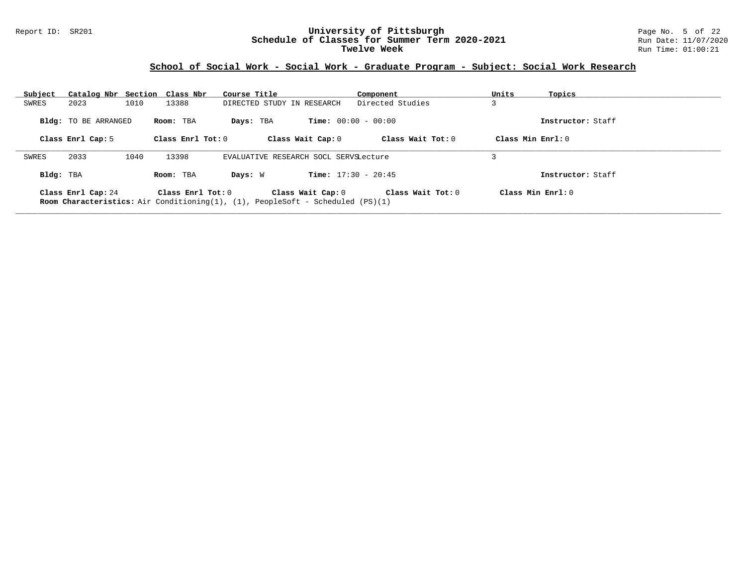#### Report ID: SR201 **University of Pittsburgh** Page No. 5 of 22 **Schedule of Classes for Summer Term 2020-2021** Run Date: 11/07/2020 **Twelve Week** Run Time: 01:00:21

| Subject   |                             | Catalog Nbr Section Class Nbr | Course Title                                                                                               | Component                    | Units<br>Topics     |  |
|-----------|-----------------------------|-------------------------------|------------------------------------------------------------------------------------------------------------|------------------------------|---------------------|--|
| SWRES     | 2023                        | 1010<br>13388                 | DIRECTED STUDY IN RESEARCH                                                                                 | Directed Studies             |                     |  |
|           | <b>Bldg:</b> TO BE ARRANGED | Room: TBA                     | Days: TBA                                                                                                  | <b>Time:</b> $00:00 - 00:00$ | Instructor: Staff   |  |
|           | Class Enrl Cap: 5           | Class Enrl Tot: $0$           | Class Wait Cap: 0                                                                                          | Class Wait Tot: $0$          | Class Min $Err1:0$  |  |
| SWRES     | 2033                        | 1040<br>13398                 | EVALUATIVE RESEARCH SOCL SERVSLecture                                                                      |                              |                     |  |
| Bldg: TBA |                             | Room: TBA                     | Days: W                                                                                                    | <b>Time:</b> $17:30 - 20:45$ | Instructor: Staff   |  |
|           | Class Enrl Cap: 24          | Class Enrl Tot: $0$           | Class Wait Cap: 0<br><b>Room Characteristics:</b> Air Conditioning(1), (1), PeopleSoft - Scheduled (PS)(1) | Class Wait $Tot: 0$          | Class Min $Enrl: 0$ |  |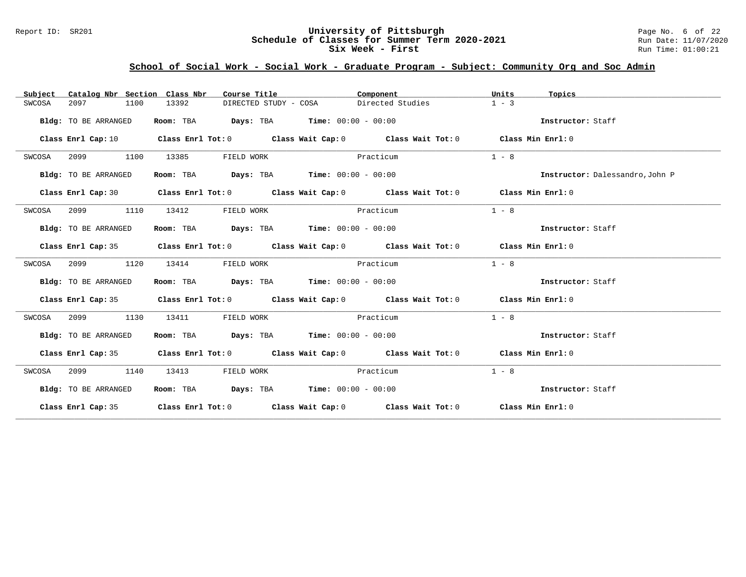#### Report ID: SR201 **University of Pittsburgh** Page No. 6 of 22 **Schedule of Classes for Summer Term 2020-2021** Run Date: 11/07/2020 **Six Week - First Run Time: 01:00:21**

| Catalog Nbr Section Class Nbr<br>Subject | Course Title                                                                             | Component                                                                                          | Units<br>Topics                 |
|------------------------------------------|------------------------------------------------------------------------------------------|----------------------------------------------------------------------------------------------------|---------------------------------|
| 2097<br>1100<br>SWCOSA                   | 13392<br>DIRECTED STUDY - COSA                                                           | Directed Studies                                                                                   | $1 - 3$                         |
| Bldg: TO BE ARRANGED                     | Room: TBA                                                                                | $\texttt{Davis:}$ TBA $\texttt{Time:}$ 00:00 - 00:00                                               | Instructor: Staff               |
| Class Enrl Cap: 10                       |                                                                                          | Class Enrl Tot: $0$ Class Wait Cap: $0$ Class Wait Tot: $0$ Class Min Enrl: $0$                    |                                 |
| 2099<br>1100<br>SWCOSA                   | 13385<br>FIELD WORK                                                                      | Practicum                                                                                          | $1 - 8$                         |
| Bldg: TO BE ARRANGED                     | Room: TBA                                                                                | <b>Days:</b> TBA <b>Time:</b> $00:00 - 00:00$                                                      | Instructor: Dalessandro, John P |
| Class Enrl Cap: 30                       |                                                                                          | Class Enrl Tot: O $\qquad$ Class Wait Cap: O $\qquad$ Class Wait Tot: O $\qquad$ Class Min Enrl: O |                                 |
| 2099<br>1110<br>SWCOSA                   | 13412<br>FIELD WORK                                                                      | Practicum                                                                                          | $1 - 8$                         |
| Bldg: TO BE ARRANGED                     | Room: TBA $\rule{1em}{0.15mm}$ Days: TBA $\rule{1.15mm}]{0.15mm}$ Time: $0.000 - 0.0000$ |                                                                                                    | Instructor: Staff               |
|                                          |                                                                                          | Class Enrl Cap: 35 Class Enrl Tot: 0 Class Wait Cap: 0 Class Wait Tot: 0 Class Min Enrl: 0         |                                 |
| 1120<br>SWCOSA<br>2099                   | 13414<br>FIELD WORK                                                                      | Practicum                                                                                          | $1 - 8$                         |
| Bldg: TO BE ARRANGED                     | Room: TBA Days: TBA Time: $00:00 - 00:00$                                                |                                                                                                    | Instructor: Staff               |
|                                          |                                                                                          | Class Enrl Cap: 35 Class Enrl Tot: 0 Class Wait Cap: 0 Class Wait Tot: 0 Class Min Enrl: 0         |                                 |
| 2099<br>1130<br>SWCOSA                   | 13411<br>FIELD WORK                                                                      | Practicum                                                                                          | $1 - 8$                         |
| Bldg: TO BE ARRANGED                     | Room: TBA $Days:$ TBA $Time: 00:00 - 00:00$                                              |                                                                                                    | Instructor: Staff               |
|                                          |                                                                                          | Class Enrl Cap: 35 Class Enrl Tot: 0 Class Wait Cap: 0 Class Wait Tot: 0 Class Min Enrl: 0         |                                 |
| SWCOSA<br>2099<br>1140                   | 13413<br>FIELD WORK                                                                      | Practicum                                                                                          | $1 - 8$                         |
| Bldg: TO BE ARRANGED                     | Room: TBA $Days:$ TBA Time: $00:00 - 00:00$                                              |                                                                                                    | Instructor: Staff               |
|                                          |                                                                                          | Class Enrl Cap: 35 Class Enrl Tot: 0 Class Wait Cap: 0 Class Wait Tot: 0 Class Min Enrl: 0         |                                 |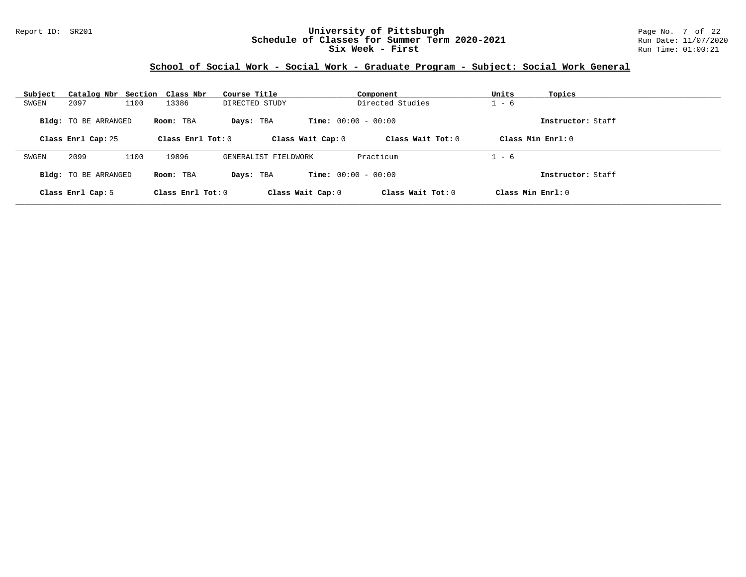#### Report ID: SR201 **University of Pittsburgh** Page No. 7 of 22 **Schedule of Classes for Summer Term 2020-2021** Run Date: 11/07/2020 **Six Week - First Run Time: 01:00:21**

| Subject | Catalog Nbr Section Class Nbr |      |                     | Course Title         |                              | Component           | Units   | Topics              |
|---------|-------------------------------|------|---------------------|----------------------|------------------------------|---------------------|---------|---------------------|
| SWGEN   | 2097                          | 1100 | 13386               | DIRECTED STUDY       |                              | Directed Studies    | $1 - 6$ |                     |
|         | <b>Bldg:</b> TO BE ARRANGED   |      | Room: TBA           | Days: TBA            | <b>Time:</b> $00:00 - 00:00$ |                     |         | Instructor: Staff   |
|         | Class Enrl Cap: 25            |      | Class Enrl Tot: $0$ |                      | Class Wait Cap: 0            | Class Wait $Tot: 0$ |         | Class Min $Enrl: 0$ |
| SWGEN   | 2099                          | 1100 | 19896               | GENERALIST FIELDWORK |                              | Practicum           | $1 - 6$ |                     |
|         | <b>Bldg:</b> TO BE ARRANGED   |      | Room: TBA           | Days: TBA            | <b>Time:</b> $00:00 - 00:00$ |                     |         | Instructor: Staff   |
|         | Class Enrl Cap: 5             |      | Class Enrl Tot: $0$ |                      | Class Wait Cap: 0            | Class Wait Tot: $0$ |         | Class Min $Enrl: 0$ |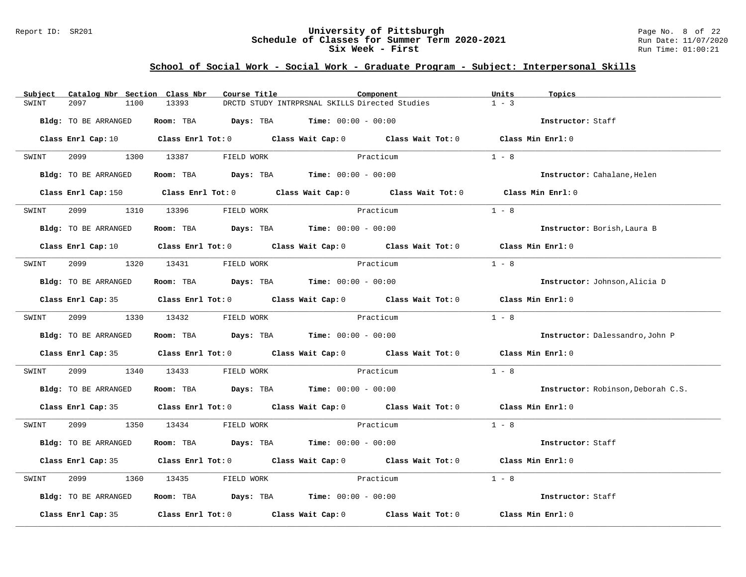#### Report ID: SR201 **University of Pittsburgh** Page No. 8 of 22 **Schedule of Classes for Summer Term 2020-2021** Run Date: 11/07/2020 **Six Week - First Run Time: 01:00:21**

| Subject              | Catalog Nbr Section Class Nbr | Course Title               |                                                | Component                                                                                           | Units             | Topics                             |
|----------------------|-------------------------------|----------------------------|------------------------------------------------|-----------------------------------------------------------------------------------------------------|-------------------|------------------------------------|
| 2097<br>SWINT        | 13393<br>1100                 |                            | DRCTD STUDY INTRPRSNAL SKILLS Directed Studies |                                                                                                     | $1 - 3$           |                                    |
| Bldg: TO BE ARRANGED |                               |                            | Room: TBA $Days: TBA$ Time: $00:00 - 00:00$    |                                                                                                     |                   | Instructor: Staff                  |
|                      |                               |                            |                                                | Class Enrl Cap: 10 Class Enrl Tot: 0 Class Wait Cap: 0 Class Wait Tot: 0 Class Min Enrl: 0          |                   |                                    |
| SWINT                | 2099 1300 13387               | FIELD WORK                 |                                                | Practicum                                                                                           | $1 - 8$           |                                    |
| Bldg: TO BE ARRANGED |                               |                            | Room: TBA $Days:$ TBA $Time: 00:00 - 00:00$    |                                                                                                     |                   | Instructor: Cahalane, Helen        |
|                      |                               |                            |                                                | Class Enrl Cap: 150 Class Enrl Tot: 0 Class Wait Cap: 0 Class Wait Tot: 0 Class Min Enrl: 0         |                   |                                    |
| SWINT                |                               | 2099 1310 13396 FIELD WORK |                                                | Practicum                                                                                           | $1 - 8$           |                                    |
| Bldg: TO BE ARRANGED |                               |                            | Room: TBA $Days:$ TBA $Time: 00:00 - 00:00$    |                                                                                                     |                   | Instructor: Borish, Laura B        |
|                      |                               |                            |                                                | Class Enrl Cap: 10 $\qquad$ Class Enrl Tot: 0 $\qquad$ Class Wait Cap: 0 $\qquad$ Class Wait Tot: 0 | Class Min Enrl: 0 |                                    |
| SWINT                |                               | 2099 1320 13431 FIELD WORK | Practicum                                      |                                                                                                     | $1 - 8$           |                                    |
| Bldg: TO BE ARRANGED |                               |                            | Room: TBA $Days:$ TBA $Time: 00:00 - 00:00$    |                                                                                                     |                   | Instructor: Johnson, Alicia D      |
|                      |                               |                            |                                                | Class Enrl Cap: 35 Class Enrl Tot: 0 Class Wait Cap: 0 Class Wait Tot: 0 Class Min Enrl: 0          |                   |                                    |
| SWINT                |                               | 2099 1330 13432 FIELD WORK | Practicum                                      |                                                                                                     | $1 - 8$           |                                    |
| Bldg: TO BE ARRANGED |                               |                            | Room: TBA $Days:$ TBA $Time: 00:00 - 00:00$    |                                                                                                     |                   | Instructor: Dalessandro, John P    |
|                      |                               |                            |                                                | Class Enrl Cap: 35 Class Enrl Tot: 0 Class Wait Cap: 0 Class Wait Tot: 0 Class Min Enrl: 0          |                   |                                    |
| 2099 — 2005<br>SWINT |                               | 1340 13433 FIELD WORK      | Practicum                                      |                                                                                                     | $1 - 8$           |                                    |
| Bldg: TO BE ARRANGED |                               |                            | Room: TBA $Days:$ TBA $Time: 00:00 - 00:00$    |                                                                                                     |                   | Instructor: Robinson, Deborah C.S. |
|                      |                               |                            |                                                | Class Enrl Cap: 35 Class Enrl Tot: 0 Class Wait Cap: 0 Class Wait Tot: 0 Class Min Enrl: 0          |                   |                                    |
| SWINT                |                               | 2099 1350 13434 FIELD WORK | Practicum                                      |                                                                                                     | $1 - 8$           |                                    |
| Bldg: TO BE ARRANGED |                               |                            | Room: TBA $Days:$ TBA $Time: 00:00 - 00:00$    |                                                                                                     |                   | Instructor: Staff                  |
|                      |                               |                            |                                                | Class Enrl Cap: 35 Class Enrl Tot: 0 Class Wait Cap: 0 Class Wait Tot: 0 Class Min Enrl: 0          |                   |                                    |
| SWINT<br>2099        |                               | 1360 13435 FIELD WORK      | Practicum                                      |                                                                                                     | $1 - 8$           |                                    |
| Bldg: TO BE ARRANGED |                               |                            | Room: TBA $Days:$ TBA $Time: 00:00 - 00:00$    |                                                                                                     |                   | Instructor: Staff                  |
|                      |                               |                            |                                                | Class Enrl Cap: 35 Class Enrl Tot: 0 Class Wait Cap: 0 Class Wait Tot: 0 Class Min Enrl: 0          |                   |                                    |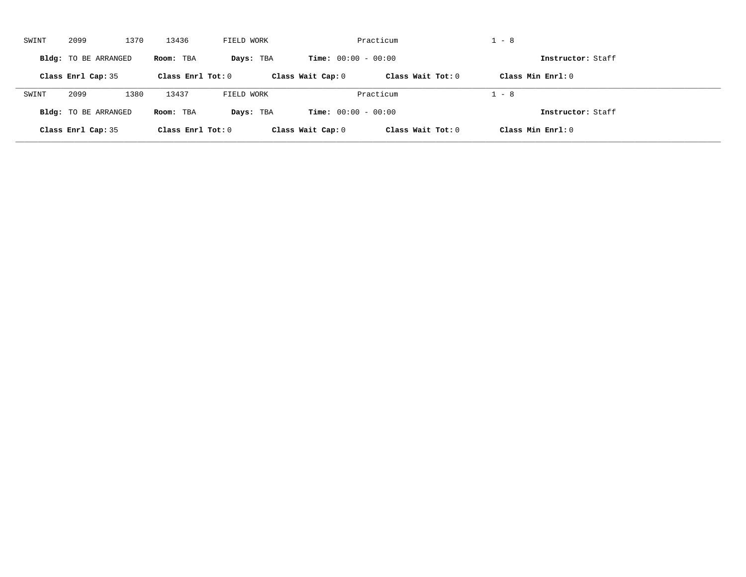| SWINT | 2099                 | 1370 | 13436               | FIELD WORK |                              | Practicum           | $1 - 8$             |  |
|-------|----------------------|------|---------------------|------------|------------------------------|---------------------|---------------------|--|
|       | Bldg: TO BE ARRANGED |      | Room: TBA           | Days: TBA  | <b>Time:</b> $00:00 - 00:00$ |                     | Instructor: Staff   |  |
|       | Class Enrl Cap: 35   |      | Class Enrl Tot: $0$ |            | Class Wait Cap: 0            | Class Wait $Tot: 0$ | Class Min $Enrl: 0$ |  |
| SWINT | 2099                 | 1380 | 13437               | FIELD WORK |                              | Practicum           | $1 - 8$             |  |
|       | Bldg: TO BE ARRANGED |      | Room: TBA           | Days: TBA  | <b>Time:</b> $00:00 - 00:00$ |                     | Instructor: Staff   |  |
|       | Class Enrl Cap: 35   |      | Class Enrl Tot: 0   |            | Class Wait Cap: 0            | Class Wait Tot: 0   | Class Min Enrl: 0   |  |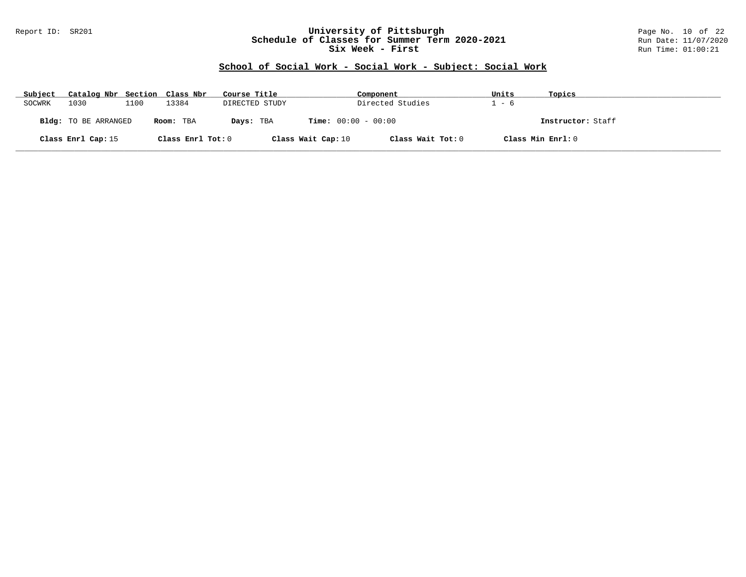#### Report ID: SR201 **University of Pittsburgh** Page No. 10 of 22 **Schedule of Classes for Summer Term 2020-2021** Run Date: 11/07/2020 **Six Week - First Run Time: 01:00:21**

# **School of Social Work - Social Work - Subject: Social Work**

| Subject | Catalog Nbr Section Class Nbr |      |                   | Course Title   | Component                    |                   | Units | Topics            |
|---------|-------------------------------|------|-------------------|----------------|------------------------------|-------------------|-------|-------------------|
| SOCWRK  | 1030                          | 1100 | 13384             | DIRECTED STUDY |                              | Directed Studies  | - 6   |                   |
|         | <b>Bldg:</b> TO BE ARRANGED   |      | Room: TBA         | Days: TBA      | <b>Time:</b> $00:00 - 00:00$ |                   |       | Instructor: Staff |
|         | Class Enrl Cap: 15            |      | Class Enrl Tot: 0 |                | Class Wait Cap: 10           | Class Wait Tot: 0 |       | Class Min Enrl: 0 |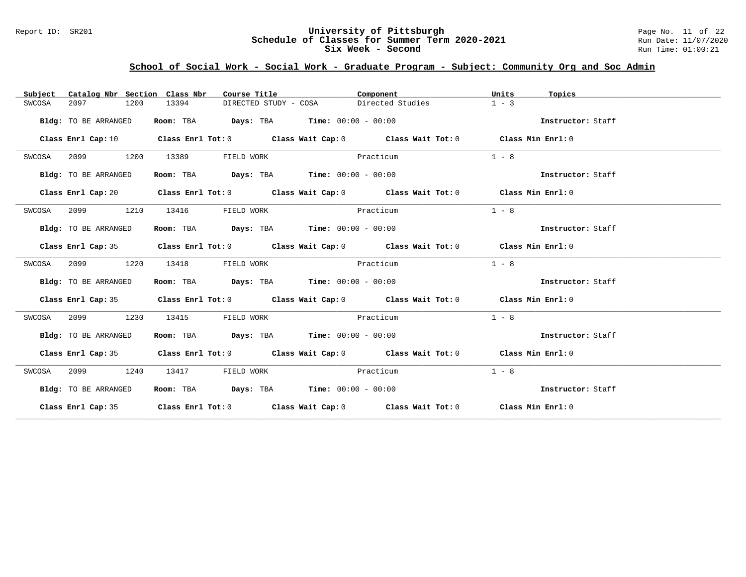#### Report ID: SR201 **University of Pittsburgh** Page No. 11 of 22 **Schedule of Classes for Summer Term 2020-2021** Run Date: 11/07/2020 **Six Week - Second Run Time: 01:00:21**

| Catalog Nbr Section Class Nbr<br>Subject | Course Title                                | Component                                                                                  | Units<br>Topics   |
|------------------------------------------|---------------------------------------------|--------------------------------------------------------------------------------------------|-------------------|
| 2097<br>1200<br>SWCOSA                   | 13394<br>DIRECTED STUDY - COSA              | Directed Studies                                                                           | $1 - 3$           |
| Bldg: TO BE ARRANGED                     | Room: TBA $Days:$ TBA $Time: 00:00 - 00:00$ |                                                                                            | Instructor: Staff |
|                                          |                                             | Class Enrl Cap: 10 Class Enrl Tot: 0 Class Wait Cap: 0 Class Wait Tot: 0 Class Min Enrl: 0 |                   |
| SWCOSA<br>2099<br>1200                   | 13389<br>FIELD WORK                         | Practicum                                                                                  | $1 - 8$           |
| Bldg: TO BE ARRANGED                     | Room: TBA $Days:$ TBA $Time: 00:00 - 00:00$ |                                                                                            | Instructor: Staff |
|                                          |                                             | Class Enrl Cap: 20 Class Enrl Tot: 0 Class Wait Cap: 0 Class Wait Tot: 0 Class Min Enrl: 0 |                   |
| 2099<br>1210<br>SWCOSA                   | 13416<br>FIELD WORK                         | Practicum                                                                                  | $1 - 8$           |
| Bldg: TO BE ARRANGED                     | Room: TBA $Days:$ TBA $Time: 00:00 - 00:00$ |                                                                                            | Instructor: Staff |
|                                          |                                             | Class Enrl Cap: 35 Class Enrl Tot: 0 Class Wait Cap: 0 Class Wait Tot: 0 Class Min Enrl: 0 |                   |
| 1220<br>SWCOSA<br>2099                   | 13418<br>FIELD WORK                         | Practicum                                                                                  | $1 - 8$           |
| Bldg: TO BE ARRANGED                     | Room: TBA $Days:$ TBA $Time: 00:00 - 00:00$ |                                                                                            | Instructor: Staff |
|                                          |                                             | Class Enrl Cap: 35 Class Enrl Tot: 0 Class Wait Cap: 0 Class Wait Tot: 0 Class Min Enrl: 0 |                   |
| SWCOSA<br>2099<br>1230                   | 13415<br>FIELD WORK                         | Practicum                                                                                  | $1 - 8$           |
| Bldg: TO BE ARRANGED                     | Room: TBA $Days:$ TBA $Time: 00:00 - 00:00$ |                                                                                            | Instructor: Staff |
|                                          |                                             | Class Enrl Cap: 35 Class Enrl Tot: 0 Class Wait Cap: 0 Class Wait Tot: 0 Class Min Enrl: 0 |                   |
| 2099<br>SWCOSA<br>1240                   | 13417<br>FIELD WORK                         | Practicum                                                                                  | $1 - 8$           |
| Bldg: TO BE ARRANGED                     | Room: TBA $Days:$ TBA Time: $00:00 - 00:00$ |                                                                                            | Instructor: Staff |
|                                          |                                             | Class Enrl Cap: 35 Class Enrl Tot: 0 Class Wait Cap: 0 Class Wait Tot: 0 Class Min Enrl: 0 |                   |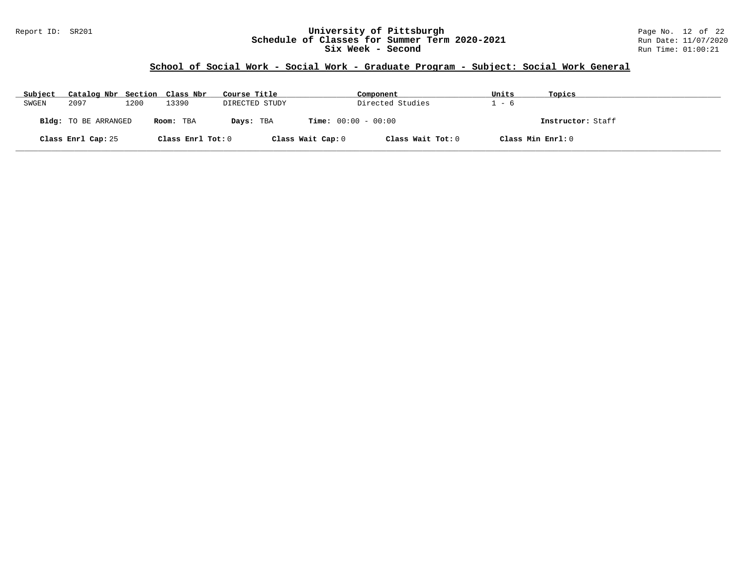#### Report ID: SR201 **University of Pittsburgh** Page No. 12 of 22 **Schedule of Classes for Summer Term 2020-2021** Run Date: 11/07/2020 **Six Week - Second Run Time: 01:00:21**

| Subject | Catalog Nbr Section Class Nbr |      |                   | Course Title   | Component                    |                   | Units | Topics            |
|---------|-------------------------------|------|-------------------|----------------|------------------------------|-------------------|-------|-------------------|
| SWGEN   | 2097                          | 1200 | 13390             | DIRECTED STUDY | Directed Studies             |                   | - 6   |                   |
|         | <b>Bldg:</b> TO BE ARRANGED   |      | Room: TBA         | Days: TBA      | <b>Time:</b> $00:00 - 00:00$ |                   |       | Instructor: Staff |
|         | Class Enrl Cap: 25            |      | Class Enrl Tot: 0 |                | Class Wait Cap: 0            | Class Wait Tot: 0 |       | Class Min Enrl: 0 |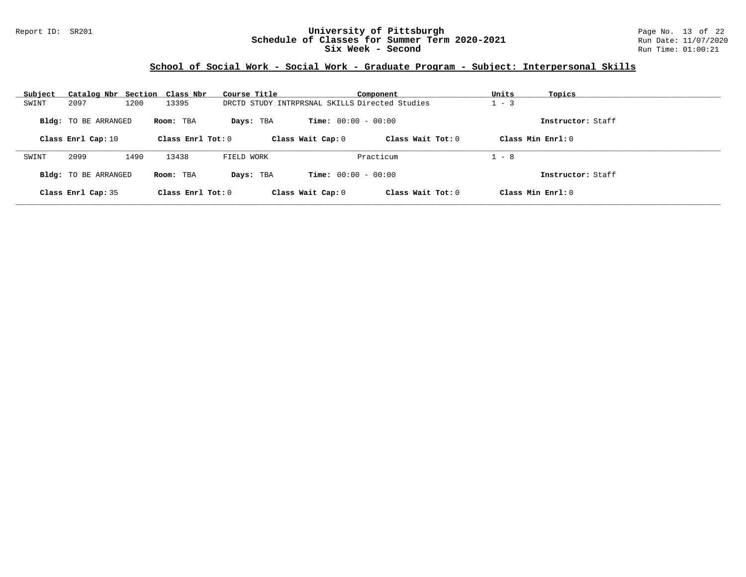#### Report ID: SR201 **University of Pittsburgh** Page No. 13 of 22 **Schedule of Classes for Summer Term 2020-2021** Run Date: 11/07/2020 **Six Week - Second Run Time: 01:00:21**

| Subject | Catalog Nbr Section Class Nbr |      |                     | Course Title |                                                | Component           | Units   | Topics              |
|---------|-------------------------------|------|---------------------|--------------|------------------------------------------------|---------------------|---------|---------------------|
| SWINT   | 2097                          | 1200 | 13395               |              | DRCTD STUDY INTRPRSNAL SKILLS Directed Studies |                     | $1 - 3$ |                     |
|         | <b>Bldg:</b> TO BE ARRANGED   |      | Room: TBA           | Days: TBA    | <b>Time:</b> $00:00 - 00:00$                   |                     |         | Instructor: Staff   |
|         | Class Enrl Cap: 10            |      | Class Enrl Tot: $0$ |              | Class Wait Cap: 0                              | Class Wait Tot: $0$ |         | Class Min $Enrl: 0$ |
|         |                               |      |                     | FIELD WORK   |                                                |                     |         |                     |
| SWINT   | 2099                          | 1490 | 13438               |              |                                                | Practicum           | $1 - 8$ |                     |
|         | Bldg: TO BE ARRANGED          |      | Room: TBA           | Davs: TBA    | <b>Time:</b> $00:00 - 00:00$                   |                     |         | Instructor: Staff   |
|         | Class Enrl Cap: 35            |      | Class $Enr1 Tot: 0$ |              | Class Wait Cap: 0                              | Class Wait Tot: $0$ |         | Class Min Enrl: 0   |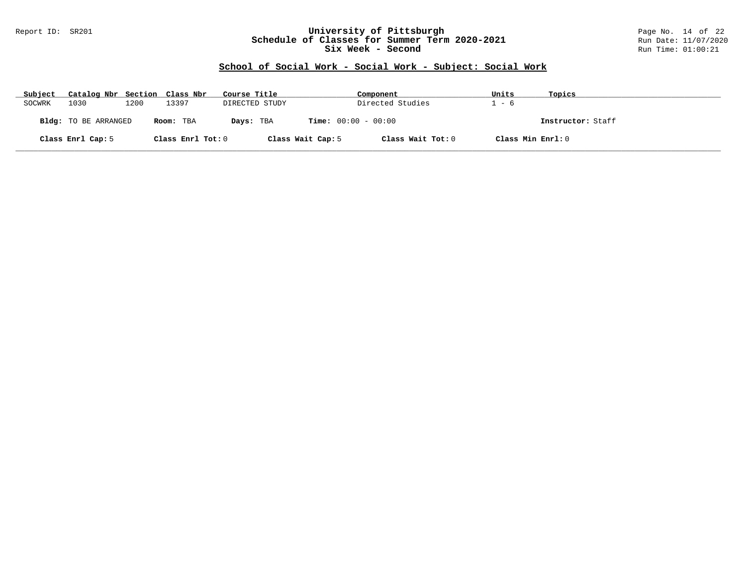#### Report ID: SR201 **University of Pittsburgh** Page No. 14 of 22 **Schedule of Classes for Summer Term 2020-2021** Run Date: 11/07/2020 **Six Week - Second Run Time: 01:00:21**

# **School of Social Work - Social Work - Subject: Social Work**

| Subject | Catalog Nbr Section Class Nbr |      |                   | Course Title   |                              | Component         | Units             | Topics            |
|---------|-------------------------------|------|-------------------|----------------|------------------------------|-------------------|-------------------|-------------------|
| SOCWRK  | 1030                          | 1200 | L3397             | DIRECTED STUDY |                              | Directed Studies  | - 6               |                   |
|         | Bldg: TO BE ARRANGED          |      | Room: TBA         | Days: TBA      | <b>Time:</b> $00:00 - 00:00$ |                   |                   | Instructor: Staff |
|         | Class Enrl Cap: 5             |      | Class Enrl Tot: 0 |                | Class Wait Cap: 5            | Class Wait Tot: 0 | Class Min Enrl: 0 |                   |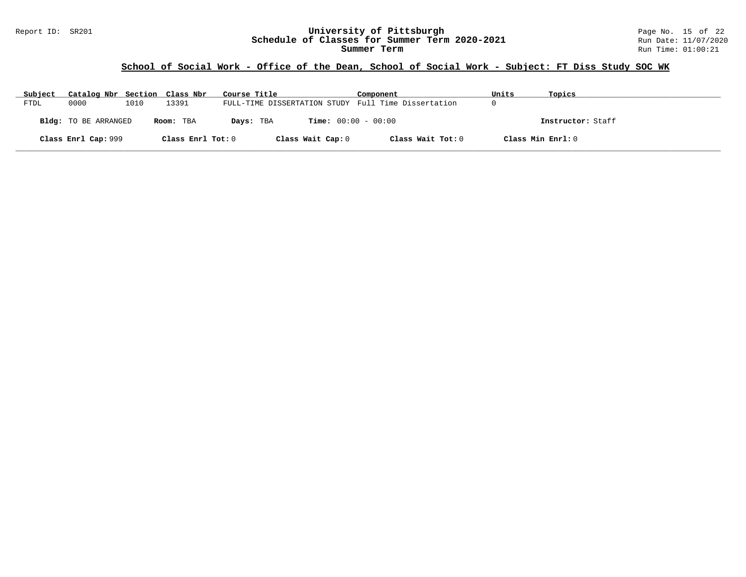# **School of Social Work - Office of the Dean, School of Social Work - Subject: FT Diss Study SOC WK**

| Subject | Catalog Nbr Section Class Nbr |      |                   | Course Title                                        | Component         | Units | Topics            |
|---------|-------------------------------|------|-------------------|-----------------------------------------------------|-------------------|-------|-------------------|
| FTDL    | 0000                          | 1010 | 13391             | FULL-TIME DISSERTATION STUDY Full Time Dissertation |                   |       |                   |
|         | <b>Bldg:</b> TO BE ARRANGED   |      | Room: TBA         | <b>Time:</b> $00:00 - 00:00$<br>Days: TBA           |                   |       | Instructor: Staff |
|         | Class Enrl Cap: 999           |      | Class Enrl Tot: 0 | Class Wait Cap: 0                                   | Class Wait Tot: 0 |       | Class Min Enrl: 0 |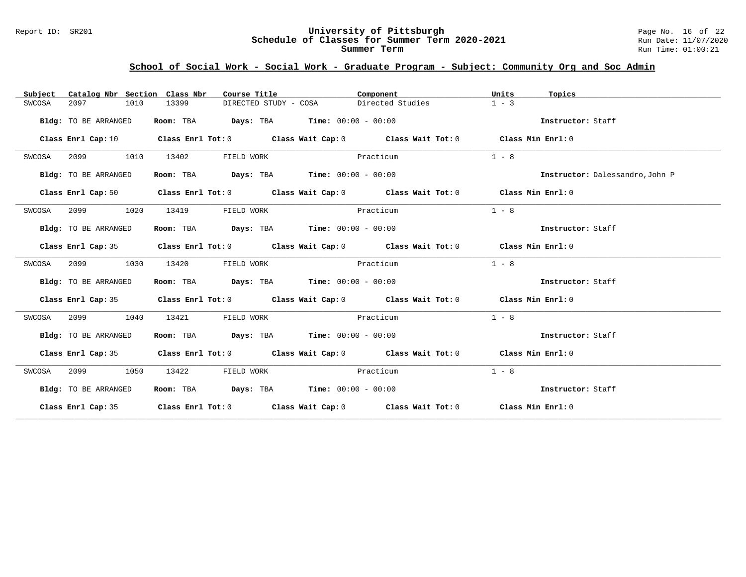#### Report ID: SR201 **University of Pittsburgh** Page No. 16 of 22 **Schedule of Classes for Summer Term 2020-2021** Run Date: 11/07/2020 **Summer Term** Run Time: 01:00:21

| Catalog Nbr Section Class Nbr<br>Subject | Course Title                                                   | Component                                                                                  | Units<br>Topics                 |
|------------------------------------------|----------------------------------------------------------------|--------------------------------------------------------------------------------------------|---------------------------------|
| 2097<br>1010<br>SWCOSA                   | 13399<br>DIRECTED STUDY - COSA                                 | Directed Studies                                                                           | $1 - 3$                         |
| Bldg: TO BE ARRANGED                     | Room: TBA $Days:$ TBA $Time: 00:00 - 00:00$                    |                                                                                            | Instructor: Staff               |
| Class Enrl Cap: 10                       |                                                                | Class Enrl Tot: $0$ Class Wait Cap: $0$ Class Wait Tot: $0$ Class Min Enrl: $0$            |                                 |
| 2099<br>1010<br>SWCOSA                   | 13402<br>FIELD WORK                                            | Practicum                                                                                  | $1 - 8$                         |
| Bldg: TO BE ARRANGED                     | Room: TBA $Days:$ TBA $Time: 00:00 - 00:00$                    |                                                                                            | Instructor: Dalessandro, John P |
|                                          |                                                                | Class Enrl Cap: 50 Class Enrl Tot: 0 Class Wait Cap: 0 Class Wait Tot: 0 Class Min Enrl: 0 |                                 |
| 2099<br>1020<br>SWCOSA                   | 13419<br>FIELD WORK                                            | Practicum                                                                                  | $1 - 8$                         |
| Bldg: TO BE ARRANGED                     | Room: TBA $\rule{1em}{0.15mm}$ Days: TBA Time: $00:00 - 00:00$ |                                                                                            | Instructor: Staff               |
|                                          |                                                                | Class Enrl Cap: 35 Class Enrl Tot: 0 Class Wait Cap: 0 Class Wait Tot: 0 Class Min Enrl: 0 |                                 |
| SWCOSA<br>2099<br>1030                   | 13420<br>FIELD WORK                                            | Practicum                                                                                  | $1 - 8$                         |
| Bldg: TO BE ARRANGED                     | Room: TBA $\rule{1em}{0.15mm}$ Days: TBA Time: $00:00 - 00:00$ |                                                                                            | Instructor: Staff               |
|                                          |                                                                | Class Enrl Cap: 35 Class Enrl Tot: 0 Class Wait Cap: 0 Class Wait Tot: 0 Class Min Enrl: 0 |                                 |
| 2099<br>1040<br>SWCOSA                   | FIELD WORK<br>13421                                            | Practicum                                                                                  | $1 - 8$                         |
| Bldg: TO BE ARRANGED                     | Room: TBA $Days: TBA$ Time: $00:00 - 00:00$                    |                                                                                            | Instructor: Staff               |
|                                          |                                                                | Class Enrl Cap: 35 Class Enrl Tot: 0 Class Wait Cap: 0 Class Wait Tot: 0 Class Min Enrl: 0 |                                 |
| 2099<br>1050<br>SWCOSA                   | 13422<br>FIELD WORK                                            | Practicum                                                                                  | $1 - 8$                         |
| Bldg: TO BE ARRANGED                     | Room: TBA $Days:$ TBA $Time: 00:00 - 00:00$                    |                                                                                            | Instructor: Staff               |
|                                          |                                                                | Class Enrl Cap: 35 Class Enrl Tot: 0 Class Wait Cap: 0 Class Wait Tot: 0 Class Min Enrl: 0 |                                 |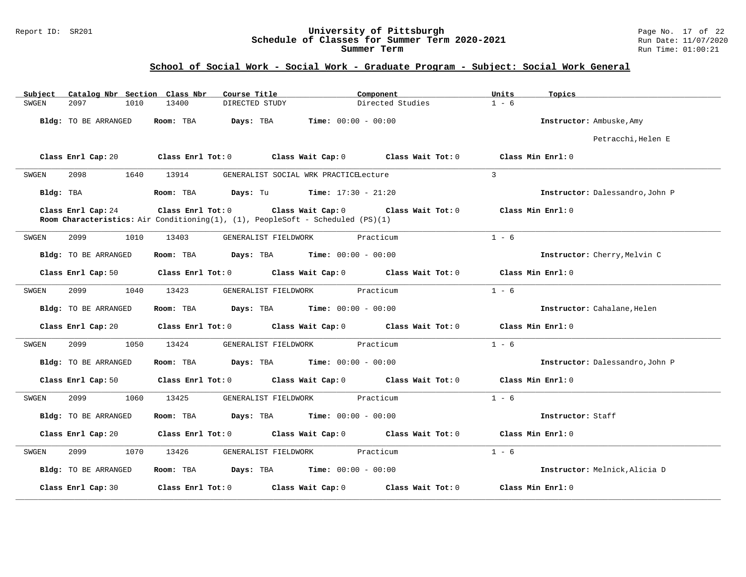#### Report ID: SR201 **University of Pittsburgh** Page No. 17 of 22 **Schedule of Classes for Summer Term 2020-2021** Run Date: 11/07/2020 **Summer Term** Run Time: 01:00:21

| Subject   | Catalog Nbr Section Class Nbr |      |                   | Course Title                                                                                                          |                              | Component         | Units         | Topics                          |
|-----------|-------------------------------|------|-------------------|-----------------------------------------------------------------------------------------------------------------------|------------------------------|-------------------|---------------|---------------------------------|
| SWGEN     | 2097                          | 1010 | 13400             | DIRECTED STUDY                                                                                                        |                              | Directed Studies  | $1 - 6$       |                                 |
|           | Bldg: TO BE ARRANGED          |      | Room: TBA         | Days: TBA                                                                                                             | <b>Time:</b> $00:00 - 00:00$ |                   |               | Instructor: Ambuske, Amy        |
|           |                               |      |                   |                                                                                                                       |                              |                   |               | Petracchi, Helen E              |
|           | Class Enrl Cap: 20            |      | Class Enrl Tot: 0 |                                                                                                                       | Class Wait Cap: 0            | Class Wait Tot: 0 |               | Class Min Enrl: 0               |
| SWGEN     | 2098                          | 1640 | 13914             | GENERALIST SOCIAL WRK PRACTICELecture                                                                                 |                              |                   | $\mathcal{L}$ |                                 |
| Bldg: TBA |                               |      | Room: TBA         | <b>Days:</b> Tu <b>Time:</b> $17:30 - 21:20$                                                                          |                              |                   |               | Instructor: Dalessandro, John P |
|           | Class Enrl Cap: 24            |      |                   | Class Enrl Tot: 0 Class Wait Cap: 0<br>Room Characteristics: Air Conditioning(1), (1), PeopleSoft - Scheduled (PS)(1) |                              | Class Wait Tot: 0 |               | Class Min Enrl: 0               |
| SWGEN     | 2099                          | 1010 | 13403             | GENERALIST FIELDWORK                                                                                                  |                              | Practicum         | $1 - 6$       |                                 |
|           | <b>Bldg:</b> TO BE ARRANGED   |      | Room: TBA         | Days: TBA                                                                                                             | <b>Time:</b> $00:00 - 00:00$ |                   |               | Instructor: Cherry, Melvin C    |
|           | Class Enrl Cap: 50            |      | Class Enrl Tot: 0 |                                                                                                                       | Class Wait Cap: 0            | Class Wait Tot: 0 |               | Class Min Enrl: 0               |
| SWGEN     | 2099                          | 1040 | 13423             | GENERALIST FIELDWORK                                                                                                  |                              | Practicum         | $1 - 6$       |                                 |
|           | <b>Bldg:</b> TO BE ARRANGED   |      | Room: TBA         | Days: TBA                                                                                                             | <b>Time:</b> $00:00 - 00:00$ |                   |               | Instructor: Cahalane, Helen     |
|           | Class Enrl Cap: 20            |      | Class Enrl Tot: 0 |                                                                                                                       | Class Wait Cap: 0            | Class Wait Tot: 0 |               | Class Min Enrl: 0               |
| SWGEN     | 2099                          | 1050 | 13424             | GENERALIST FIELDWORK                                                                                                  |                              | Practicum         | $1 - 6$       |                                 |
|           | Bldg: TO BE ARRANGED          |      | Room: TBA         | Days: TBA                                                                                                             | $Time: 00:00 - 00:00$        |                   |               | Instructor: Dalessandro, John P |
|           | Class Enrl Cap: 50            |      | Class Enrl Tot: 0 |                                                                                                                       | Class Wait Cap: 0            | Class Wait Tot: 0 |               | Class Min Enrl: 0               |
| SWGEN     | 2099                          | 1060 | 13425             | GENERALIST FIELDWORK                                                                                                  |                              | Practicum         | $1 - 6$       |                                 |
|           | Bldg: TO BE ARRANGED          |      | Room: TBA         | Days: TBA                                                                                                             | <b>Time:</b> $00:00 - 00:00$ |                   |               | Instructor: Staff               |
|           | Class Enrl Cap: 20            |      | Class Enrl Tot: 0 |                                                                                                                       | Class Wait Cap: 0            | Class Wait Tot: 0 |               | Class Min Enrl: 0               |
| SWGEN     | 2099                          | 1070 | 13426             | GENERALIST FIELDWORK                                                                                                  |                              | Practicum         | $1 - 6$       |                                 |
|           | Bldg: TO BE ARRANGED          |      | Room: TBA         | Days: TBA                                                                                                             | $Time: 00:00 - 00:00$        |                   |               | Instructor: Melnick, Alicia D   |
|           | Class Enrl Cap: 30            |      | Class Enrl Tot: 0 |                                                                                                                       | Class Wait Cap: 0            | Class Wait Tot: 0 |               | Class Min Enrl: 0               |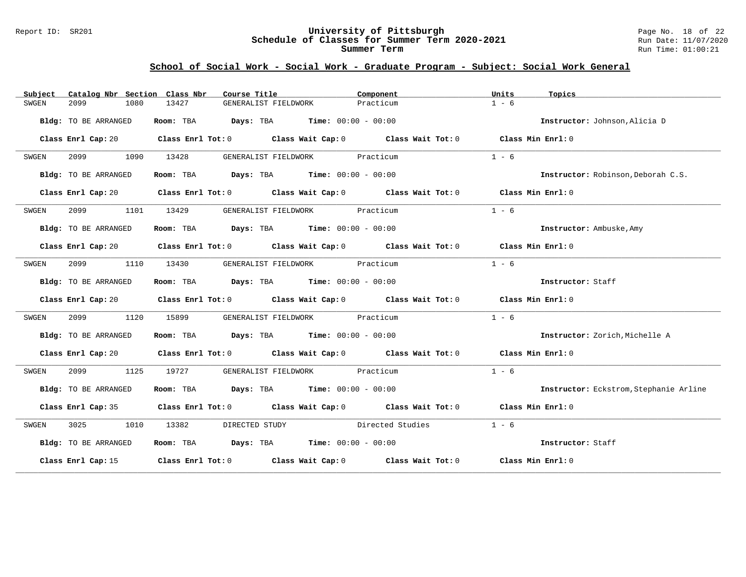#### Report ID: SR201 **University of Pittsburgh** Page No. 18 of 22 **Schedule of Classes for Summer Term 2020-2021** Run Date: 11/07/2020 **Summer Term** Run Time: 01:00:21

| Subject | Catalog Nbr Section Class Nbr | Course Title                                                                               | Component | Units<br>Topics                        |
|---------|-------------------------------|--------------------------------------------------------------------------------------------|-----------|----------------------------------------|
| SWGEN   | 2099<br>1080                  | 13427<br>GENERALIST FIELDWORK                                                              | Practicum | $1 - 6$                                |
|         | Bldg: TO BE ARRANGED          | Room: TBA $Days:$ TBA $Time: 00:00 - 00:00$                                                |           | Instructor: Johnson, Alicia D          |
|         |                               | Class Enrl Cap: 20 Class Enrl Tot: 0 Class Wait Cap: 0 Class Wait Tot: 0 Class Min Enrl: 0 |           |                                        |
| SWGEN   | 2099<br>1090                  | 13428<br>GENERALIST FIELDWORK Practicum                                                    |           | $1 - 6$                                |
|         | Bldg: TO BE ARRANGED          | Room: TBA $Days:$ TBA $Time: 00:00 - 00:00$                                                |           | Instructor: Robinson, Deborah C.S.     |
|         |                               | Class Enrl Cap: 20 Class Enrl Tot: 0 Class Wait Cap: 0 Class Wait Tot: 0 Class Min Enrl: 0 |           |                                        |
| SWGEN   | 2099                          | GENERALIST FIELDWORK Practicum<br>1101 13429                                               |           | $1 - 6$                                |
|         | Bldg: TO BE ARRANGED          | Room: TBA $\rule{1em}{0.15mm}$ Days: TBA $\rule{1.5mm}{0.15mm}$ Time: $00:00 - 00:00$      |           | Instructor: Ambuske, Amy               |
|         |                               | Class Enrl Cap: 20 Class Enrl Tot: 0 Class Wait Cap: 0 Class Wait Tot: 0 Class Min Enrl: 0 |           |                                        |
| SWGEN   | 2099<br>1110                  | 13430<br>GENERALIST FIELDWORK Practicum                                                    |           | $1 - 6$                                |
|         | Bldg: TO BE ARRANGED          | Room: TBA $Days:$ TBA $Time: 00:00 - 00:00$                                                |           | Instructor: Staff                      |
|         |                               | Class Enrl Cap: 20 Class Enrl Tot: 0 Class Wait Cap: 0 Class Wait Tot: 0 Class Min Enrl: 0 |           |                                        |
| SWGEN   | 1120<br>2099                  | GENERALIST FIELDWORK Practicum<br>15899                                                    |           | $1 - 6$                                |
|         | Bldg: TO BE ARRANGED          | Room: TBA $Days:$ TBA $Time: 00:00 - 00:00$                                                |           | Instructor: Zorich, Michelle A         |
|         |                               | Class Enrl Cap: 20 Class Enrl Tot: 0 Class Wait Cap: 0 Class Wait Tot: 0 Class Min Enrl: 0 |           |                                        |
| SWGEN   | 2099 1125                     | 19727<br>GENERALIST FIELDWORK Practicum                                                    |           | $1 - 6$                                |
|         | Bldg: TO BE ARRANGED          | Room: TBA $Days:$ TBA $Time: 00:00 - 00:00$                                                |           | Instructor: Eckstrom, Stephanie Arline |
|         |                               | Class Enrl Cap: 35 Class Enrl Tot: 0 Class Wait Cap: 0 Class Wait Tot: 0 Class Min Enrl: 0 |           |                                        |
| SWGEN   | 3025 1010 13382               | DIRECTED STUDY Directed Studies                                                            |           | $1 - 6$                                |
|         | Bldg: TO BE ARRANGED          | Room: TBA $Days:$ TBA $Time: 00:00 - 00:00$                                                |           | Instructor: Staff                      |
|         |                               | Class Enrl Cap: 15 Class Enrl Tot: 0 Class Wait Cap: 0 Class Wait Tot: 0 Class Min Enrl: 0 |           |                                        |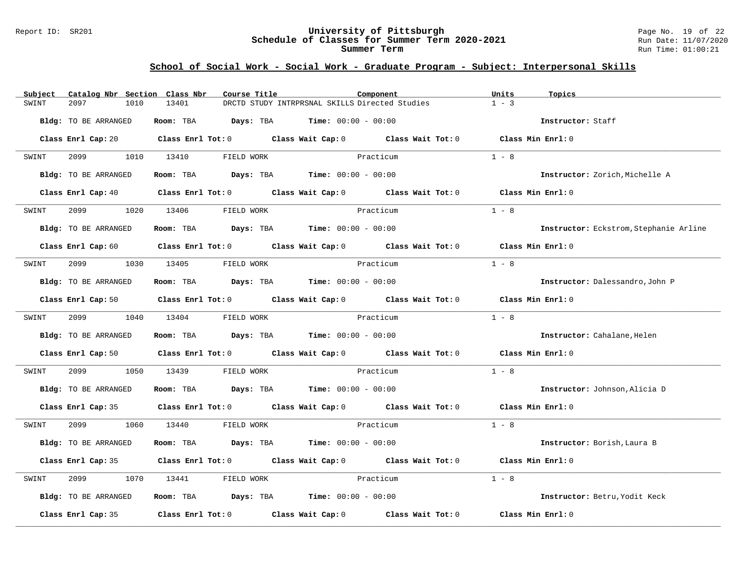#### Report ID: SR201 **University of Pittsburgh** Page No. 19 of 22 **Schedule of Classes for Summer Term 2020-2021** Run Date: 11/07/2020 **Summer Term** Run Time: 01:00:21

| Subject                     | Catalog Nbr Section Class Nbr | Course Title                                |                                                | Component                                                                                                                      | Units             | Topics                                 |
|-----------------------------|-------------------------------|---------------------------------------------|------------------------------------------------|--------------------------------------------------------------------------------------------------------------------------------|-------------------|----------------------------------------|
| 2097<br>SWINT               | 1010<br>13401                 |                                             | DRCTD STUDY INTRPRSNAL SKILLS Directed Studies |                                                                                                                                | $1 - 3$           |                                        |
| Bldg: TO BE ARRANGED        |                               | Room: TBA $Days:$ TBA $Time: 00:00 - 00:00$ |                                                |                                                                                                                                |                   | Instructor: Staff                      |
|                             |                               |                                             |                                                | Class Enrl Cap: 20 Class Enrl Tot: 0 Class Wait Cap: 0 Class Wait Tot: 0 Class Min Enrl: 0                                     |                   |                                        |
| SWINT                       | 2099 1010 13410               | FIELD WORK                                  |                                                | Practicum                                                                                                                      | $1 - 8$           |                                        |
| Bldg: TO BE ARRANGED        |                               | Room: TBA $Days:$ TBA $Time: 00:00 - 00:00$ |                                                |                                                                                                                                |                   | Instructor: Zorich, Michelle A         |
|                             |                               |                                             |                                                | Class Enrl Cap: 40 Class Enrl Tot: 0 Class Wait Cap: 0 Class Wait Tot: 0 Class Min Enrl: 0                                     |                   |                                        |
| SWINT                       | 2099 1020 13406               | FIELD WORK                                  |                                                | Practicum                                                                                                                      | $1 - 8$           |                                        |
| <b>Bldg:</b> TO BE ARRANGED |                               | Room: TBA $Days:$ TBA $Time: 00:00 - 00:00$ |                                                |                                                                                                                                |                   | Instructor: Eckstrom, Stephanie Arline |
|                             |                               |                                             |                                                | Class Enrl Cap: 60 $\qquad$ Class Enrl Tot: 0 $\qquad$ Class Wait Cap: 0 $\qquad$ Class Wait Tot: 0                            | Class Min Enrl: 0 |                                        |
| SWINT                       | 2099 1030 13405 FIELD WORK    |                                             | Practicum                                      |                                                                                                                                | $1 - 8$           |                                        |
| Bldg: TO BE ARRANGED        |                               | Room: TBA $Days:$ TBA $Time: 00:00 - 00:00$ |                                                |                                                                                                                                |                   | Instructor: Dalessandro, John P        |
|                             |                               |                                             |                                                | Class Enrl Cap: 50 $\qquad$ Class Enrl Tot: 0 $\qquad$ Class Wait Cap: 0 $\qquad$ Class Wait Tot: 0 $\qquad$ Class Min Enrl: 0 |                   |                                        |
| SWINT                       | 2099 1040 13404               | FIELD WORK                                  | Practicum                                      |                                                                                                                                | $1 - 8$           |                                        |
| Bldg: TO BE ARRANGED        |                               | Room: TBA $Days:$ TBA Time: $00:00 - 00:00$ |                                                |                                                                                                                                |                   | Instructor: Cahalane, Helen            |
|                             |                               |                                             |                                                | Class Enrl Cap: 50 $\qquad$ Class Enrl Tot: 0 $\qquad$ Class Wait Cap: 0 $\qquad$ Class Wait Tot: 0                            | Class Min Enrl: 0 |                                        |
| 2099<br>SWINT               | 1050<br>13439                 | FIELD WORK                                  | Practicum                                      |                                                                                                                                | $1 - 8$           |                                        |
| Bldg: TO BE ARRANGED        |                               | Room: TBA $Days: TBA$ Time: $00:00 - 00:00$ |                                                |                                                                                                                                |                   | Instructor: Johnson, Alicia D          |
|                             |                               |                                             |                                                | Class Enrl Cap: 35 Class Enrl Tot: 0 Class Wait Cap: 0 Class Wait Tot: 0 Class Min Enrl: 0                                     |                   |                                        |
| SWINT                       | 2099 1060 13440 FIELD WORK    |                                             | Practicum                                      |                                                                                                                                | $1 - 8$           |                                        |
| Bldg: TO BE ARRANGED        |                               | Room: TBA $Days:$ TBA $Time: 00:00 - 00:00$ |                                                |                                                                                                                                |                   | Instructor: Borish, Laura B            |
|                             |                               |                                             |                                                | Class Enrl Cap: 35 Class Enrl Tot: 0 Class Wait Cap: 0 Class Wait Tot: 0                                                       | Class Min Enrl: 0 |                                        |
| 2099<br>SWINT               | 1070<br>13441                 | FIELD WORK                                  |                                                | Practicum                                                                                                                      | $1 - 8$           |                                        |
| Bldg: TO BE ARRANGED        |                               | Room: TBA $Days:$ TBA $Time: 00:00 - 00:00$ |                                                |                                                                                                                                |                   | Instructor: Betru, Yodit Keck          |
|                             |                               |                                             |                                                | Class Enrl Cap: 35 $\qquad$ Class Enrl Tot: 0 $\qquad$ Class Wait Cap: 0 $\qquad$ Class Wait Tot: 0                            | Class Min Enrl: 0 |                                        |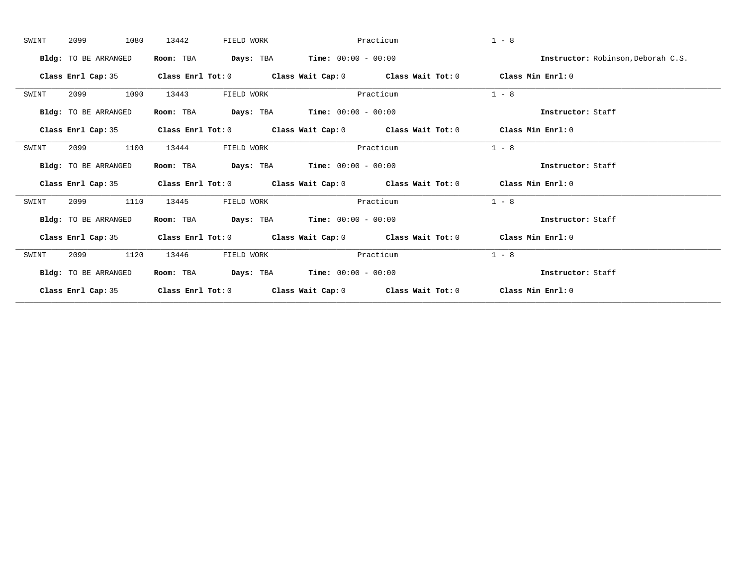| SWINT | 1080<br>2099                | 13442     | FIELD WORK                                        | Practicum |                                                                                            | $1 - 8$           |                                    |
|-------|-----------------------------|-----------|---------------------------------------------------|-----------|--------------------------------------------------------------------------------------------|-------------------|------------------------------------|
|       | Bldg: TO BE ARRANGED        | Room: TBA | <b>Days:</b> TBA <b>Time:</b> $00:00 - 00:00$     |           |                                                                                            |                   | Instructor: Robinson, Deborah C.S. |
|       | Class Enrl Cap: 35          |           |                                                   |           | Class Enrl Tot: $0$ Class Wait Cap: $0$ Class Wait Tot: $0$ Class Min Enrl: $0$            |                   |                                    |
| SWINT | 1090<br>2099                | 13443     | FIELD WORK                                        | Practicum |                                                                                            | $1 - 8$           |                                    |
|       | Bldg: TO BE ARRANGED        | Room: TBA | <b>Days:</b> TBA <b>Time:</b> $00:00 - 00:00$     |           |                                                                                            | Instructor: Staff |                                    |
|       |                             |           |                                                   |           | Class Enrl Cap: 35 Class Enrl Tot: 0 Class Wait Cap: 0 Class Wait Tot: 0 Class Min Enrl: 0 |                   |                                    |
| SWINT | 1100<br>2099                | 13444     | FIELD WORK                                        | Practicum |                                                                                            | $1 - 8$           |                                    |
|       | <b>Bldg:</b> TO BE ARRANGED | Room: TBA | $\texttt{Days:}$ TBA <b>Time:</b> $00:00 - 00:00$ |           |                                                                                            | Instructor: Staff |                                    |
|       |                             |           |                                                   |           | Class Enrl Cap: 35 Class Enrl Tot: 0 Class Wait Cap: 0 Class Wait Tot: 0 Class Min Enrl: 0 |                   |                                    |
| SWINT | 1110<br>2099                | 13445     | FIELD WORK                                        | Practicum |                                                                                            | $1 - 8$           |                                    |
|       | Bldg: TO BE ARRANGED        | Room: TBA | <b>Days:</b> TBA <b>Time:</b> $00:00 - 00:00$     |           |                                                                                            | Instructor: Staff |                                    |
|       |                             |           |                                                   |           | Class Enrl Cap: 35 Class Enrl Tot: 0 Class Wait Cap: 0 Class Wait Tot: 0 Class Min Enrl: 0 |                   |                                    |
| SWINT | 2099<br>1120                | 13446     | FIELD WORK                                        | Practicum |                                                                                            | $1 - 8$           |                                    |
|       | <b>Bldg:</b> TO BE ARRANGED | Room: TBA | $\texttt{Days:}$ TBA Time: $00:00 - 00:00$        |           |                                                                                            | Instructor: Staff |                                    |
|       | Class Enrl Cap: 35          |           |                                                   |           | Class Enrl Tot: $0$ Class Wait Cap: $0$ Class Wait Tot: $0$ Class Min Enrl: $0$            |                   |                                    |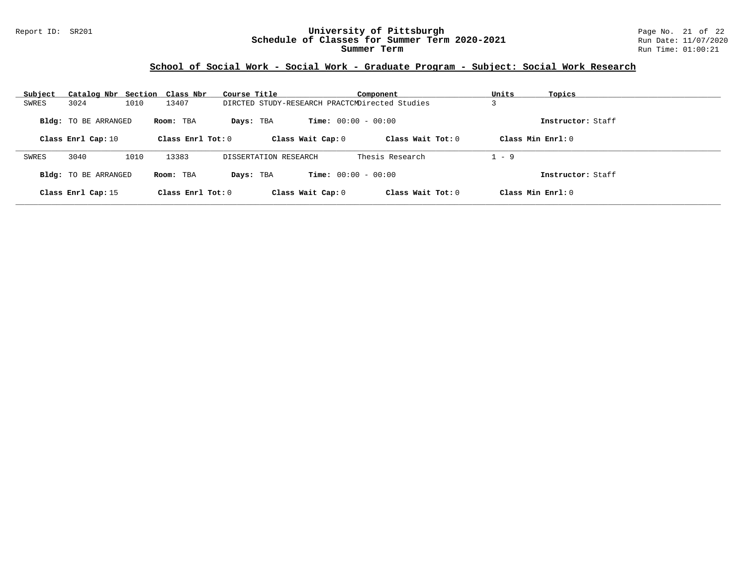#### Report ID: SR201 **University of Pittsburgh** Page No. 21 of 22 **Schedule of Classes for Summer Term 2020-2021** Run Date: 11/07/2020 **Summer Term** Run Time: 01:00:21

| Subject | Catalog Nbr Section Class Nbr |      |                     | Course Title          |                              | Component                                      | Units   | Topics               |
|---------|-------------------------------|------|---------------------|-----------------------|------------------------------|------------------------------------------------|---------|----------------------|
| SWRES   | 3024                          | 1010 | 13407               |                       |                              | DIRCTED STUDY-RESEARCH PRACTCMDirected Studies |         |                      |
|         | <b>Bldg:</b> TO BE ARRANGED   |      | Room: TBA           | Days: TBA             | <b>Time:</b> $00:00 - 00:00$ |                                                |         | Instructor: Staff    |
|         | Class Enrl Cap: 10            |      | Class Enrl Tot: $0$ |                       | Class Wait Cap: 0            | Class Wait $Tot: 0$                            |         | $Class Min Ernst: 0$ |
| SWRES   | 3040                          | 1010 | 13383               | DISSERTATION RESEARCH |                              | Thesis Research                                | $1 - 9$ |                      |
|         | Bldg: TO BE ARRANGED          |      | Room: TBA           | Days: TBA             | <b>Time:</b> $00:00 - 00:00$ |                                                |         | Instructor: Staff    |
|         | Class Enrl Cap: 15            |      | Class Enrl Tot: $0$ |                       | Class Wait Cap: 0            | Class Wait $Tot: 0$                            |         | Class Min Enrl: 0    |